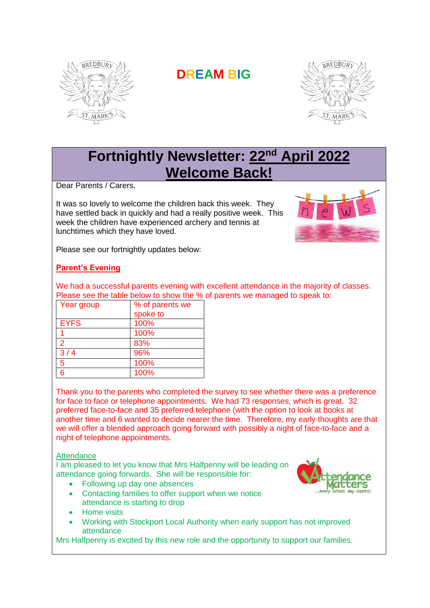

# **DREAM BIG**



## **Fortnightly Newsletter: 22nd April 2022 Welcome Back!**

Dear Parents / Carers,

It was so lovely to welcome the children back this week. They have settled back in quickly and had a really positive week. This week the children have experienced archery and tennis at lunchtimes which they have loved.



Please see our fortnightly updates below:

### **Parent's Evening**

We had a successful parents evening with excellent attendance in the majority of classes. Please see the table below to show the % of parents we managed to speak to:

| Year group  | % of parents we |
|-------------|-----------------|
|             | spoke to        |
| <b>EYFS</b> | 100%            |
|             | 100%            |
| 2           | 83%             |
| $3/4$       | 96%             |
| 5           | 100%            |
| 6           | 100%            |

Thank you to the parents who completed the survey to see whether there was a preference for face to face or telephone appointments. We had 73 responses, which is great. 32 preferred face-to-face and 35 preferred telephone (with the option to look at books at another time and 6 wanted to decide nearer the time. Therefore, my early thoughts are that we will offer a blended approach going forward with possibly a night of face-to-face and a night of telephone appointments.

#### **Attendance**

I am pleased to let you know that Mrs Halfpenny will be leading on attendance going forwards. She will be responsible for:

- Following up day one absences
- Contacting families to offer support when we notice attendance is starting to drop
- Home visits
- Working with Stockport Local Authority when early support has not improved attendance

Mrs Halfpenny is excited by this new role and the opportunity to support our families.

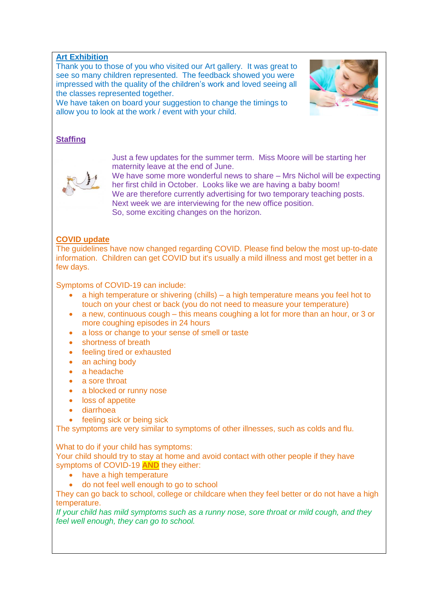#### **Art Exhibition**

Thank you to those of you who visited our Art gallery. It was great to see so many children represented. The feedback showed you were impressed with the quality of the children's work and loved seeing all the classes represented together.

We have taken on board your suggestion to change the timings to allow you to look at the work / event with your child.



#### **Staffing**



Just a few updates for the summer term. Miss Moore will be starting her maternity leave at the end of June.

We have some more wonderful news to share – Mrs Nichol will be expecting her first child in October. Looks like we are having a baby boom! We are therefore currently advertising for two temporary teaching posts. Next week we are interviewing for the new office position. So, some exciting changes on the horizon.

#### **COVID update**

The guidelines have now changed regarding COVID. Please find below the most up-to-date information. Children can get COVID but it's usually a mild illness and most get better in a few days.

Symptoms of COVID-19 can include:

- a high temperature or shivering (chills) a high temperature means you feel hot to touch on your chest or back (you do not need to measure your temperature)
- a new, continuous cough this means coughing a lot for more than an hour, or 3 or more coughing episodes in 24 hours
- a loss or change to your sense of smell or taste
- shortness of breath
- feeling tired or exhausted
- an aching body
- a headache
- a sore throat
- a blocked or runny nose
- loss of appetite
- diarrhoea
- feeling sick or being sick

The symptoms are very similar to symptoms of other illnesses, such as colds and flu.

What to do if your child has symptoms:

Your child should try to stay at home and avoid contact with other people if they have symptoms of COVID-19 **AND** they either:

- have a high temperature
- do not feel well enough to go to school

They can go back to school, college or childcare when they feel better or do not have a high temperature.

*If your child has mild symptoms such as a runny nose, sore throat or mild cough, and they feel well enough, they can go to school.*